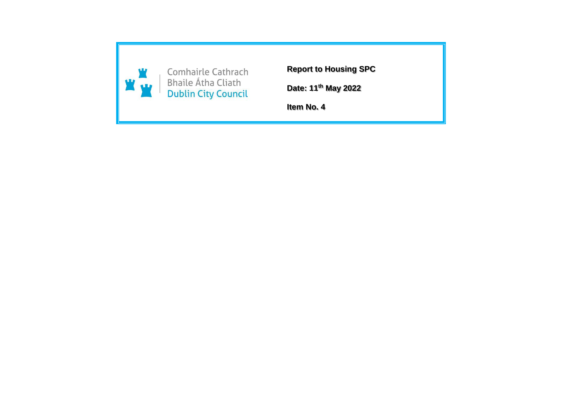

**Report to Housing SPC**

**Date: 11th May 2022**

**Item No. 4**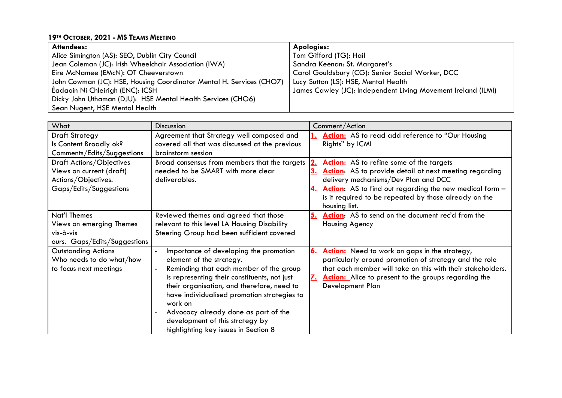## **19TH OCTOBER, 2021 - MS TEAMS MEETING**

| Attendees:                                                           | <b>Apologies:</b>                                             |
|----------------------------------------------------------------------|---------------------------------------------------------------|
| Alice Simington (AS): SEO, Dublin City Council                       | Tom Gifford (TG): Hail                                        |
| Jean Coleman (JC): Irish Wheelchair Association (IWA)                | Sandra Keenan: St. Margaret's                                 |
| Eire McNamee (EMcN): OT Cheeverstown                                 | Carol Gouldsbury (CG): Senior Social Worker, DCC              |
| John Cowman (JC): HSE, Housing Coordinator Mental H. Services (CHO7) | Lucy Sutton (LS): HSE, Mental Health                          |
| Eadaoin Ni Chleirigh (ENC): ICSH                                     | James Cawley (JC): Independent Living Movement Ireland (ILMI) |
| Dicky John Uthaman (DJU): HSE Mental Health Services (CHO6)          |                                                               |
| Sean Nugent, HSE Mental Health                                       |                                                               |

| What                         | <b>Discussion</b>                              |           | Comment/Action                                              |
|------------------------------|------------------------------------------------|-----------|-------------------------------------------------------------|
| <b>Draft Strategy</b>        | Agreement that Strategy well composed and      |           | Action: AS to read add reference to "Our Housing            |
| Is Content Broadly ok?       | covered all that was discussed at the previous |           | Rights" by ICMI                                             |
| Comments/Edits/Suggestions   | brainstorm session                             |           |                                                             |
| Draft Actions/Objectives     | Broad consensus from members that the targets  |           | Action: AS to refine some of the targets                    |
| Views on current (draft)     | needed to be SMART with more clear             |           | Action: AS to provide detail at next meeting regarding      |
| Actions/Objectives.          | deliverables.                                  |           | delivery mechanisms/Dev Plan and DCC                        |
| Gaps/Edits/Suggestions       |                                                |           | Action: AS to find out regarding the new medical form -     |
|                              |                                                |           | is it required to be repeated by those already on the       |
|                              |                                                |           | housing list.                                               |
| Nat'l Themes                 | Reviewed themes and agreed that those          | 5.        | Action: AS to send on the document rec'd from the           |
| Views on emerging Themes     | relevant to this level LA Housing Disability   |           | Housing Agency                                              |
| vis-à-vis                    | Steering Group had been sufficient covered     |           |                                                             |
| ours. Gaps/Edits/Suggestions |                                                |           |                                                             |
| <b>Outstanding Actions</b>   | Importance of developing the promotion         | 6.        | Action: Need to work on gaps in the strategy,               |
| Who needs to do what/how     | element of the strategy.                       |           | particularly around promotion of strategy and the role      |
| to focus next meetings       | Reminding that each member of the group        |           | that each member will take on this with their stakeholders. |
|                              | is representing their constituents, not just   | <u>z.</u> | Action: Alice to present to the groups regarding the        |
|                              | their organisation, and therefore, need to     |           | Development Plan                                            |
|                              | have individualised promotion strategies to    |           |                                                             |
|                              | work on                                        |           |                                                             |
|                              | Advocacy already done as part of the           |           |                                                             |
|                              | development of this strategy by                |           |                                                             |
|                              | highlighting key issues in Section 8           |           |                                                             |